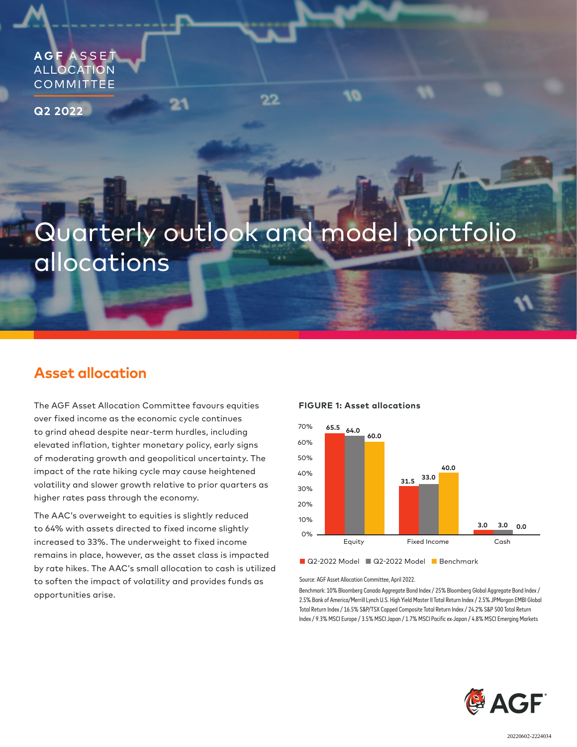**AGF** A S S E T ALLOCATION **COMMITTEE** 

**Q2 2022**

# Quarterly outlook and model portfolio allocations

22

# **Asset allocation**

The AGF Asset Allocation Committee favours equities over fixed income as the economic cycle continues to grind ahead despite near-term hurdles, including elevated inflation, tighter monetary policy, early signs of moderating growth and geopolitical uncertainty. The impact of the rate hiking cycle may cause heightened volatility and slower growth relative to prior quarters as higher rates pass through the economy.

The AAC's overweight to equities is slightly reduced to 64% with assets directed to fixed income slightly increased to 33%. The underweight to fixed income remains in place, however, as the asset class is impacted by rate hikes. The AAC's small allocation to cash is utilized to soften the impact of volatility and provides funds as opportunities arise.

#### **FIGURE 1: Asset allocations**

10



■ Q2-2022 Model ■ Q2-2022 Model ■ Benchmark

Source: AGF Asset Allocation Committee, April 2022.

Benchmark: 10% Bloomberg Canada Aggregate Bond Index / 25% Bloomberg Global Aggregate Bond Index / 2.5% Bank of America/Merrill Lynch U.S. High Yield Master II Total Return Index / 2.5% JPMorgan EMBI Global Total Return Index / 16.5% S&P/TSX Capped Composite Total Return Index / 24.2% S&P 500 Total Return Index / 9.3% MSCI Europe / 3.5% MSCI Japan / 1.7% MSCI Pacific ex-Japan / 4.8% MSCI Emerging Markets

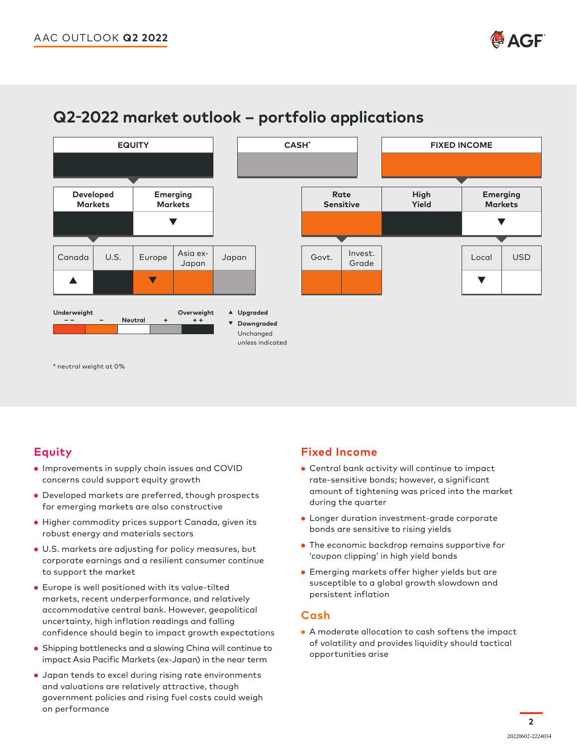



# **Q2-2022 market outlook – portfolio applications**

### **Equity**

- Improvements in supply chain issues and COVID concerns could support equity growth
- Developed markets are preferred, though prospects for emerging markets are also constructive
- Higher commodity prices support Canada, given its robust energy and materials sectors
- U.S. markets are adjusting for policy measures, but corporate earnings and a resilient consumer continue to support the market
- Europe is well positioned with its value-tilted markets, recent underperformance, and relatively accommodative central bank. However, geopolitical uncertainty, high inflation readings and falling confidence should begin to impact growth expectations
- Shipping bottlenecks and a slowing China will continue to impact Asia Pacific Markets (ex-Japan) in the near term
- Japan tends to excel during rising rate environments and valuations are relatively attractive, though government policies and rising fuel costs could weigh on performance

## **Fixed Income**

- Central bank activity will continue to impact rate-sensitive bonds; however, a significant amount of tightening was priced into the market during the quarter
- Longer duration investment-grade corporate bonds are sensitive to rising yields
- The economic backdrop remains supportive for 'coupon clipping' in high yield bonds
- Emerging markets offer higher yields but are susceptible to a global growth slowdown and persistent inflation

### **Cash**

• A moderate allocation to cash softens the impact of volatility and provides liquidity should tactical opportunities arise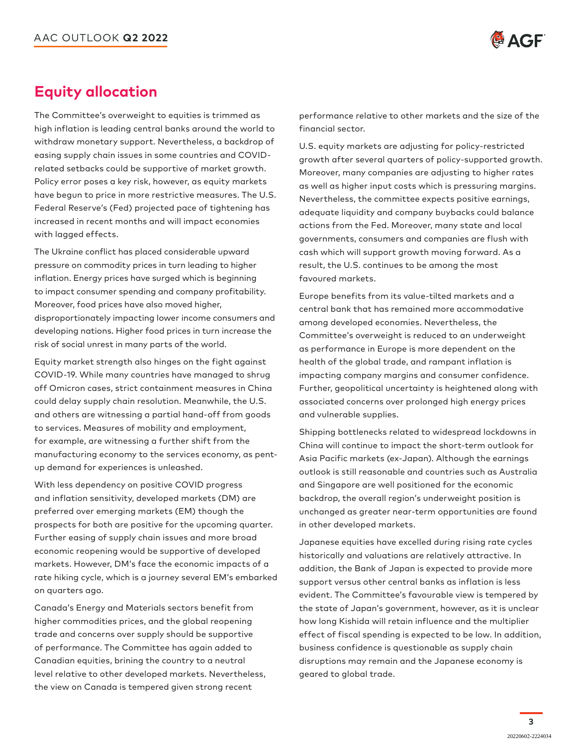

# **Equity allocation**

The Committee's overweight to equities is trimmed as high inflation is leading central banks around the world to withdraw monetary support. Nevertheless, a backdrop of easing supply chain issues in some countries and COVIDrelated setbacks could be supportive of market growth. Policy error poses a key risk, however, as equity markets have begun to price in more restrictive measures. The U.S. Federal Reserve's (Fed) projected pace of tightening has increased in recent months and will impact economies with lagged effects.

The Ukraine conflict has placed considerable upward pressure on commodity prices in turn leading to higher inflation. Energy prices have surged which is beginning to impact consumer spending and company profitability. Moreover, food prices have also moved higher, disproportionately impacting lower income consumers and developing nations. Higher food prices in turn increase the risk of social unrest in many parts of the world.

Equity market strength also hinges on the fight against COVID-19. While many countries have managed to shrug off Omicron cases, strict containment measures in China could delay supply chain resolution. Meanwhile, the U.S. and others are witnessing a partial hand-off from goods to services. Measures of mobility and employment, for example, are witnessing a further shift from the manufacturing economy to the services economy, as pentup demand for experiences is unleashed.

With less dependency on positive COVID progress and inflation sensitivity, developed markets (DM) are preferred over emerging markets (EM) though the prospects for both are positive for the upcoming quarter. Further easing of supply chain issues and more broad economic reopening would be supportive of developed markets. However, DM's face the economic impacts of a rate hiking cycle, which is a journey several EM's embarked on quarters ago.

Canada's Energy and Materials sectors benefit from higher commodities prices, and the global reopening trade and concerns over supply should be supportive of performance. The Committee has again added to Canadian equities, brining the country to a neutral level relative to other developed markets. Nevertheless, the view on Canada is tempered given strong recent

performance relative to other markets and the size of the financial sector.

U.S. equity markets are adjusting for policy-restricted growth after several quarters of policy-supported growth. Moreover, many companies are adjusting to higher rates as well as higher input costs which is pressuring margins. Nevertheless, the committee expects positive earnings, adequate liquidity and company buybacks could balance actions from the Fed. Moreover, many state and local governments, consumers and companies are flush with cash which will support growth moving forward. As a result, the U.S. continues to be among the most favoured markets.

Europe benefits from its value-tilted markets and a central bank that has remained more accommodative among developed economies. Nevertheless, the Committee's overweight is reduced to an underweight as performance in Europe is more dependent on the health of the global trade, and rampant inflation is impacting company margins and consumer confidence. Further, geopolitical uncertainty is heightened along with associated concerns over prolonged high energy prices and vulnerable supplies.

Shipping bottlenecks related to widespread lockdowns in China will continue to impact the short-term outlook for Asia Pacific markets (ex-Japan). Although the earnings outlook is still reasonable and countries such as Australia and Singapore are well positioned for the economic backdrop, the overall region's underweight position is unchanged as greater near-term opportunities are found in other developed markets.

Japanese equities have excelled during rising rate cycles historically and valuations are relatively attractive. In addition, the Bank of Japan is expected to provide more support versus other central banks as inflation is less evident. The Committee's favourable view is tempered by the state of Japan's government, however, as it is unclear how long Kishida will retain influence and the multiplier effect of fiscal spending is expected to be low. In addition, business confidence is questionable as supply chain disruptions may remain and the Japanese economy is geared to global trade.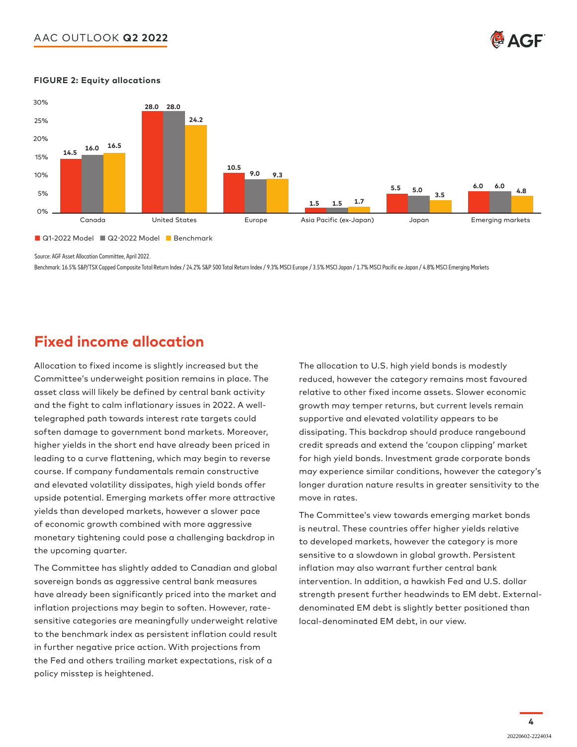### AAC OUTLOOK **Q2 2022**





#### **FIGURE 2: Equity allocations**

Source: AGF Asset Allocation Committee, April 2022.

Benchmark: 16.5% S&P/TSX Capped Composite Total Return Index / 24.2% S&P 500 Total Return Index / 9.3% MSCI Europe / 3.5% MSCI Japan / 1.7% MSCI Pacific ex-Japan / 4.8% MSCI Emerging Markets

# **Fixed income allocation**

Allocation to fixed income is slightly increased but the Committee's underweight position remains in place. The asset class will likely be defined by central bank activity and the fight to calm inflationary issues in 2022. A welltelegraphed path towards interest rate targets could soften damage to government bond markets. Moreover, higher yields in the short end have already been priced in leading to a curve flattening, which may begin to reverse course. If company fundamentals remain constructive and elevated volatility dissipates, high yield bonds offer upside potential. Emerging markets offer more attractive yields than developed markets, however a slower pace of economic growth combined with more aggressive monetary tightening could pose a challenging backdrop in the upcoming quarter.

The Committee has slightly added to Canadian and global sovereign bonds as aggressive central bank measures have already been significantly priced into the market and inflation projections may begin to soften. However, ratesensitive categories are meaningfully underweight relative to the benchmark index as persistent inflation could result in further negative price action. With projections from the Fed and others trailing market expectations, risk of a policy misstep is heightened.

The allocation to U.S. high yield bonds is modestly reduced, however the category remains most favoured relative to other fixed income assets. Slower economic growth may temper returns, but current levels remain supportive and elevated volatility appears to be dissipating. This backdrop should produce rangebound credit spreads and extend the 'coupon clipping' market Canada United States Europe Asia Pacific (ex-Japan) Japan Emerging markets for high yield bonds. Investment grade corporate bonds may experience similar conditions, however the category's longer duration nature results in greater sensitivity to the move in rates.

> The Committee's view towards emerging market bonds is neutral. These countries offer higher yields relative to developed markets, however the category is more sensitive to a slowdown in global growth. Persistent inflation may also warrant further central bank intervention. In addition, a hawkish Fed and U.S. dollar strength present further headwinds to EM debt. Externaldenominated EM debt is slightly better positioned than local-denominated EM debt, in our view.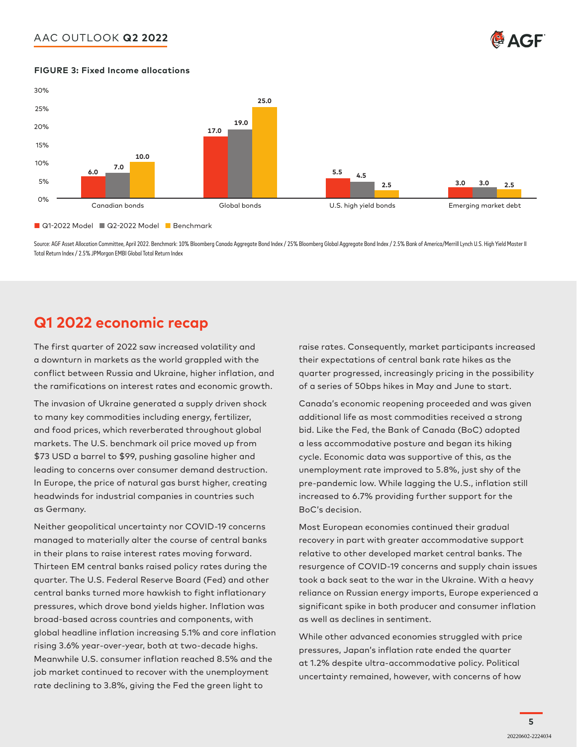### AAC OUTLOOK **Q2 2022**



#### **FIGURE 3: Fixed Income allocations**



Source: AGF Asset Allocation Committee, April 2022. Benchmark: 10% Bloomberg Canada Aggregate Bond Index / 25% Bond Index / 25% Bank of America/Merrill Lynch U.S. High Yield Master II Total Return Index / 2.5% JPMorgan EMBI Global Total Return Index

# **Q1 2022 economic recap**

The first quarter of 2022 saw increased volatility and a downturn in markets as the world grappled with the conflict between Russia and Ukraine, higher inflation, and the ramifications on interest rates and economic growth. hifications on interest rates and economic growth.  $\qquad$  of a series of 50bps hikes in May and June to start.

The invasion of Ukraine generated a supply driven shock to many key commodities including energy, fertilizer, and food prices, which reverberated throughout global markets. The U.S. benchmark oil price moved up from \$73 USD a barrel to \$99, pushing gasoline higher and leading to concerns over consumer demand destruction. In Europe, the price of natural gas burst higher, creating headwinds for industrial companies in countries such as Germany.

Neither geopolitical uncertainty nor COVID-19 concerns managed to materially alter the course of central banks in their plans to raise interest rates moving forward. Thirteen EM central banks raised policy rates during the quarter. The U.S. Federal Reserve Board (Fed) and other central banks turned more hawkish to fight inflationary pressures, which drove bond yields higher. Inflation was broad-based across countries and components, with global headline inflation increasing 5.1% and core inflation rising 3.6% year-over-year, both at two-decade highs. Meanwhile U.S. consumer inflation reached 8.5% and the job market continued to recover with the unemployment rate declining to 3.8%, giving the Fed the green light to

raise rates. Consequently, market participants increased their expectations of central bank rate hikes as the quarter progressed, increasingly pricing in the possibility

Canada's economic reopening proceeded and was given additional life as most commodities received a strong bid. Like the Fed, the Bank of Canada (BoC) adopted a less accommodative posture and began its hiking cycle. Economic data was supportive of this, as the unemployment rate improved to 5.8%, just shy of the pre-pandemic low. While lagging the U.S., inflation still increased to 6.7% providing further support for the BoC's decision.

Most European economies continued their gradual recovery in part with greater accommodative support relative to other developed market central banks. The resurgence of COVID-19 concerns and supply chain issues took a back seat to the war in the Ukraine. With a heavy reliance on Russian energy imports, Europe experienced a significant spike in both producer and consumer inflation as well as declines in sentiment.

While other advanced economies struggled with price pressures, Japan's inflation rate ended the quarter at 1.2% despite ultra-accommodative policy. Political uncertainty remained, however, with concerns of how